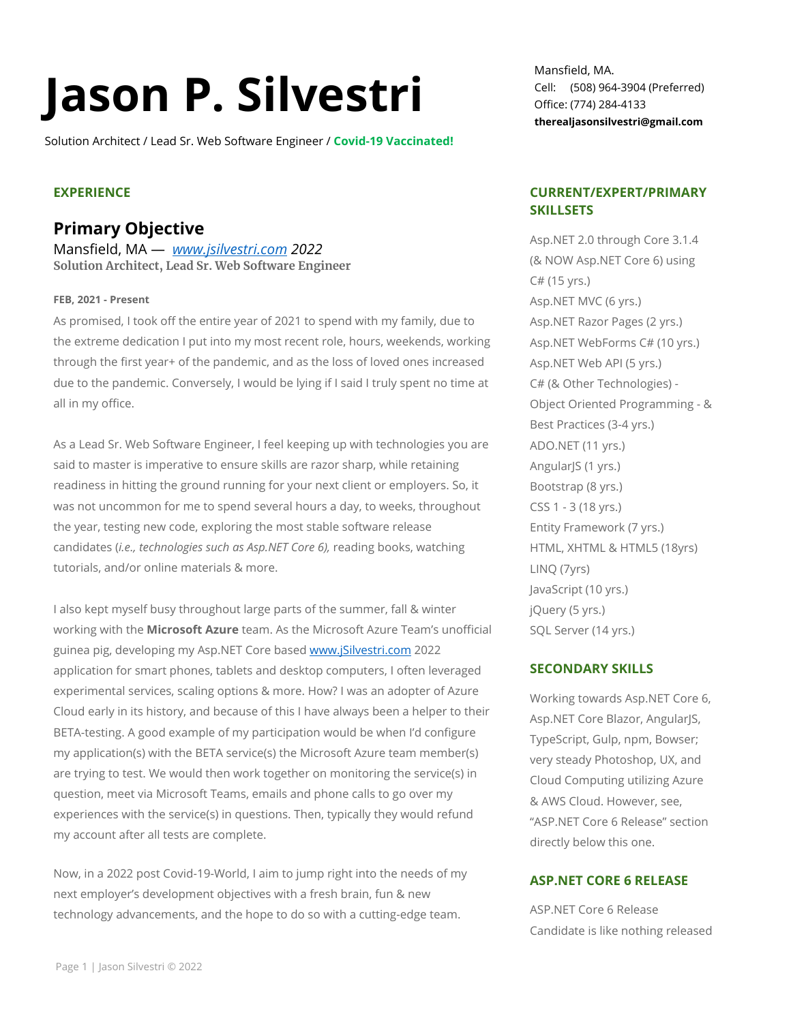Solution Architect / Lead Sr. Web Software Engineer / **Covid-19 Vaccinated!**

#### **EXPERIENCE**

### **Primary Objective**

Mansfield, MA — *[www.jsilvestri.com](http://www.jsilvestri.com/) 2022* **Solution Architect, Lead Sr. Web Software Engineer**

#### **FEB, 2021 - Present**

As promised, I took off the entire year of 2021 to spend with my family, due to the extreme dedication I put into my most recent role, hours, weekends, working through the first year+ of the pandemic, and as the loss of loved ones increased due to the pandemic. Conversely, I would be lying if I said I truly spent no time at all in my office.

As a Lead Sr. Web Software Engineer, I feel keeping up with technologies you are said to master is imperative to ensure skills are razor sharp, while retaining readiness in hitting the ground running for your next client or employers. So, it was not uncommon for me to spend several hours a day, to weeks, throughout the year, testing new code, exploring the most stable software release candidates (*i.e., technologies such as Asp.NET Core 6),* reading books, watching tutorials, and/or online materials & more.

I also kept myself busy throughout large parts of the summer, fall & winter working with the **Microsoft Azure** team. As the Microsoft Azure Team's unofficial guinea pig, developing my Asp.NET Core based [www.jSilvestri.com](http://www.jsilvestri.com/) 2022 application for smart phones, tablets and desktop computers, I often leveraged experimental services, scaling options & more. How? I was an adopter of Azure Cloud early in its history, and because of this I have always been a helper to their BETA-testing. A good example of my participation would be when I'd configure my application(s) with the BETA service(s) the Microsoft Azure team member(s) are trying to test. We would then work together on monitoring the service(s) in question, meet via Microsoft Teams, emails and phone calls to go over my experiences with the service(s) in questions. Then, typically they would refund my account after all tests are complete.

Now, in a 2022 post Covid-19-World, I aim to jump right into the needs of my next employer's development objectives with a fresh brain, fun & new technology advancements, and the hope to do so with a cutting-edge team.

Mansfield, MA. Cell: (508) 964-3904 (Preferred) Office: (774) 284-4133 **therealjasonsilvestri@gmail.com**

#### **CURRENT/EXPERT/PRIMARY SKILLSETS**

Asp.NET 2.0 through Core 3.1.4 (& NOW Asp.NET Core 6) using C# (15 yrs.) Asp.NET MVC (6 yrs.) Asp.NET Razor Pages (2 yrs.) Asp.NET WebForms C# (10 yrs.) Asp.NET Web API (5 yrs.) C# (& Other Technologies) - Object Oriented Programming - & Best Practices (3-4 yrs.) ADO.NET (11 yrs.) AngularJS (1 yrs.) Bootstrap (8 yrs.) CSS 1 - 3 (18 yrs.) Entity Framework (7 yrs.) HTML, XHTML & HTML5 (18yrs) LINQ (7yrs) JavaScript (10 yrs.) jQuery (5 yrs.) SQL Server (14 yrs.)

#### **SECONDARY SKILLS**

Working towards Asp.NET Core 6, Asp.NET Core Blazor, AngularJS, TypeScript, Gulp, npm, Bowser; very steady Photoshop, UX, and Cloud Computing utilizing Azure & AWS Cloud. However, see, "ASP.NET Core 6 Release" section directly below this one.

#### **ASP.NET CORE 6 RELEASE**

ASP.NET Core 6 Release Candidate is like nothing released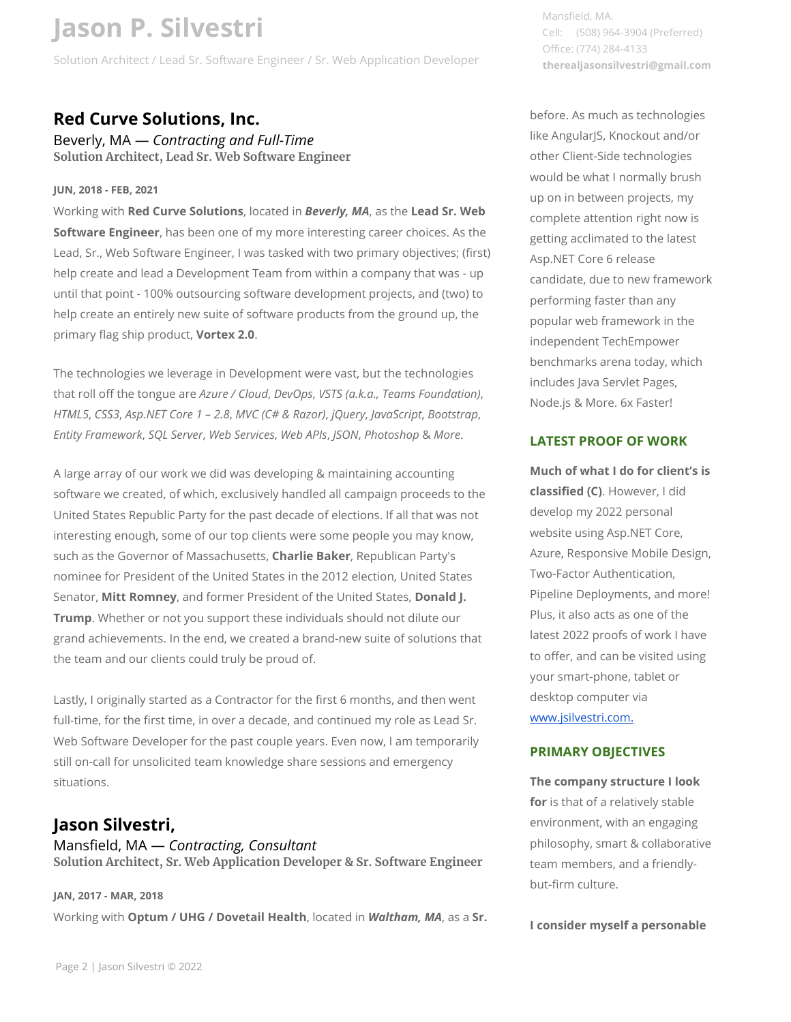Solution Architect / Lead Sr. Software Engineer / Sr. Web Application Developer

### **Red Curve Solutions, Inc.**

Beverly, MA — *Contracting and Full-Time* **Solution Architect, Lead Sr. Web Software Engineer**

#### **JUN, 2018 - FEB, 2021**

Working with **Red Curve Solutions**, located in *Beverly, MA*, as the **Lead Sr. Web Software Engineer**, has been one of my more interesting career choices. As the Lead, Sr., Web Software Engineer, I was tasked with two primary objectives; (first) help create and lead a Development Team from within a company that was - up until that point - 100% outsourcing software development projects, and (two) to help create an entirely new suite of software products from the ground up, the primary flag ship product, **Vortex 2.0**.

The technologies we leverage in Development were vast, but the technologies that roll off the tongue are *Azure / Cloud*, *DevOps*, *VSTS (a.k.a., Teams Foundation)*, *HTML5*, *CSS3*, *Asp.NET Core 1 – 2.8*, *MVC (C# & Razor)*, *jQuery*, *JavaScript*, *Bootstrap*, *Entity Framework*, *SQL Server*, *Web Services*, *Web APIs*, *JSON*, *Photoshop* & *More*.

A large array of our work we did was developing & maintaining accounting software we created, of which, exclusively handled all campaign proceeds to the United States Republic Party for the past decade of elections. If all that was not interesting enough, some of our top clients were some people you may know, such as the Governor of Massachusetts, **Charlie Baker**, Republican Party's nominee for President of the United States in the 2012 election, United States Senator, **Mitt Romney**, and former President of the United States, **Donald J. Trump**. Whether or not you support these individuals should not dilute our grand achievements. In the end, we created a brand-new suite of solutions that the team and our clients could truly be proud of.

Lastly, I originally started as a Contractor for the first 6 months, and then went full-time, for the first time, in over a decade, and continued my role as Lead Sr. Web Software Developer for the past couple years. Even now, I am temporarily still on-call for unsolicited team knowledge share sessions and emergency situations.

### **Jason Silvestri,**

Mansfield, MA — *Contracting, Consultant* **Solution Architect, Sr. Web Application Developer & Sr. Software Engineer**

#### **JAN, 2017 - MAR, 2018**

Working with **Optum / UHG / Dovetail Health**, located in *Waltham, MA*, as a **Sr.** 

Mansfield, MA. Cell: (508) 964-3904 (Preferred) Office: (774) 284-4133 **therealjasonsilvestri@gmail.com**

before. As much as technologies like AngularJS, Knockout and/or other Client-Side technologies would be what I normally brush up on in between projects, my complete attention right now is getting acclimated to the latest Asp.NET Core 6 release candidate, due to new framework performing faster than any popular web framework in the independent TechEmpower benchmarks arena today, which includes Java Servlet Pages, Node.js & More. 6x Faster!

#### **LATEST PROOF OF WORK**

**Much of what I do for client's is classified (C)**. However, I did develop my 2022 personal website using Asp.NET Core, Azure, Responsive Mobile Design, Two-Factor Authentication, Pipeline Deployments, and more! Plus, it also acts as one of the latest 2022 proofs of work I have to offer, and can be visited using your smart-phone, tablet or desktop computer via [www.jsilvestri.com.](http://www.jsilvestri.com/)

#### **PRIMARY OBJECTIVES**

**The company structure I look for** is that of a relatively stable environment, with an engaging philosophy, smart & collaborative team members, and a friendlybut-firm culture.

**I consider myself a personable**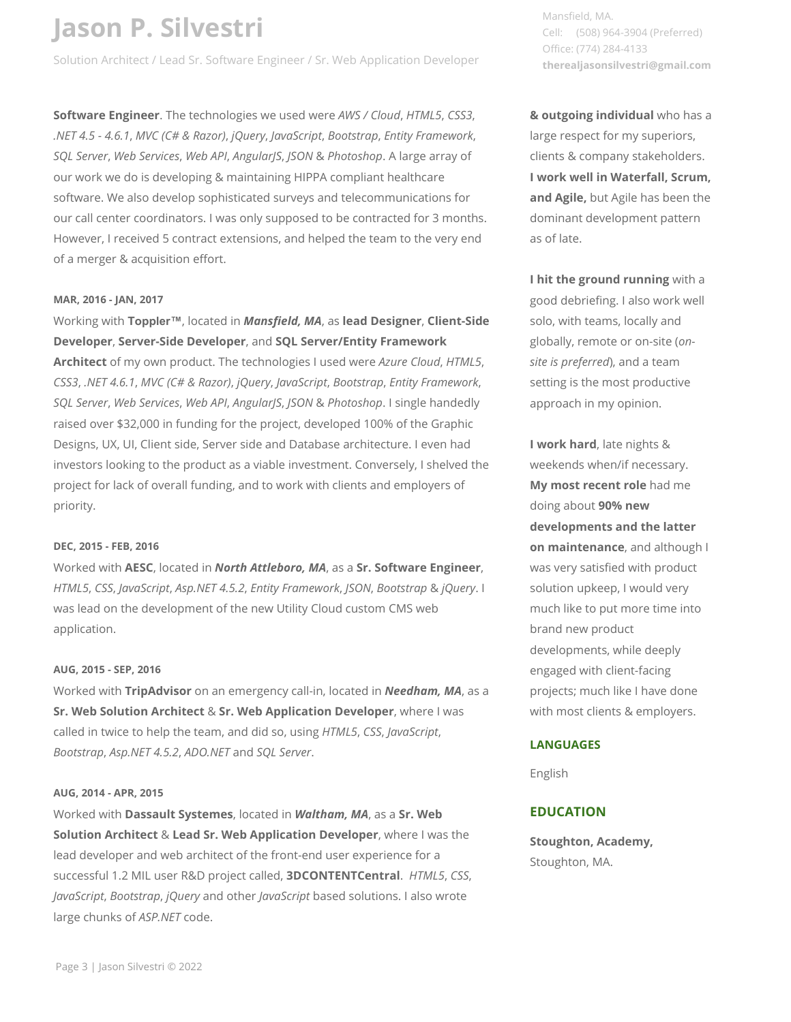Solution Architect / Lead Sr. Software Engineer / Sr. Web Application Developer

**Software Engineer**. The technologies we used were *AWS / Cloud*, *HTML5*, *CSS3*, *.NET 4.5 - 4.6.1*, *MVC (C# & Razor)*, *jQuery*, *JavaScript*, *Bootstrap*, *Entity Framework*, *SQL Server*, *Web Services*, *Web API*, *AngularJS*, *JSON* & *Photoshop*. A large array of our work we do is developing & maintaining HIPPA compliant healthcare software. We also develop sophisticated surveys and telecommunications for our call center coordinators. I was only supposed to be contracted for 3 months. However, I received 5 contract extensions, and helped the team to the very end of a merger & acquisition effort.

#### **MAR, 2016 - JAN, 2017**

Working with **Toppler™**, located in *Mansfield, MA*, as **lead Designer**, **Client-Side Developer**, **Server-Side Developer**, and **SQL Server/Entity Framework** 

**Architect** of my own product. The technologies I used were *Azure Cloud*, *HTML5*, *CSS3*, *.NET 4.6.1*, *MVC (C# & Razor)*, *jQuery*, *JavaScript*, *Bootstrap*, *Entity Framework*, *SQL Server*, *Web Services*, *Web API*, *AngularJS*, *JSON* & *Photoshop*. I single handedly raised over \$32,000 in funding for the project, developed 100% of the Graphic Designs, UX, UI, Client side, Server side and Database architecture. I even had investors looking to the product as a viable investment. Conversely, I shelved the project for lack of overall funding, and to work with clients and employers of priority.

#### **DEC, 2015 - FEB, 2016**

Worked with **AESC**, located in *North Attleboro, MA*, as a **Sr. Software Engineer**, *HTML5*, *CSS*, *JavaScript*, *Asp.NET 4.5.2*, *Entity Framework*, *JSON*, *Bootstrap* & *jQuery*. I was lead on the development of the new Utility Cloud custom CMS web application.

#### **AUG, 2015 - SEP, 2016**

Worked with **TripAdvisor** on an emergency call-in, located in *Needham, MA*, as a **Sr. Web Solution Architect** & **Sr. Web Application Developer**, where I was called in twice to help the team, and did so, using *HTML5*, *CSS*, *JavaScript*, *Bootstrap*, *Asp.NET 4.5.2*, *ADO.NET* and *SQL Server*.

#### **AUG, 2014 - APR, 2015**

Worked with **Dassault Systemes**, located in *Waltham, MA*, as a **Sr. Web Solution Architect** & **Lead Sr. Web Application Developer**, where I was the lead developer and web architect of the front-end user experience for a successful 1.2 MIL user R&D project called, **3DCONTENTCentral**. *HTML5*, *CSS*, *JavaScript*, *Bootstrap*, *jQuery* and other *JavaScript* based solutions. I also wrote large chunks of *ASP.NET* code.

Mansfield, MA. Cell: (508) 964-3904 (Preferred) Office: (774) 284-4133 **therealjasonsilvestri@gmail.com**

**& outgoing individual** who has a large respect for my superiors, clients & company stakeholders. **I work well in Waterfall, Scrum, and Agile,** but Agile has been the dominant development pattern as of late.

**I hit the ground running** with a good debriefing. I also work well solo, with teams, locally and globally, remote or on-site (*onsite is preferred*), and a team setting is the most productive approach in my opinion.

**I work hard**, late nights & weekends when/if necessary. **My most recent role** had me doing about **90% new developments and the latter on maintenance**, and although I was very satisfied with product solution upkeep, I would very much like to put more time into brand new product developments, while deeply engaged with client-facing projects; much like I have done with most clients & employers.

#### **LANGUAGES**

English

#### **EDUCATION**

**Stoughton, Academy,**  Stoughton, MA.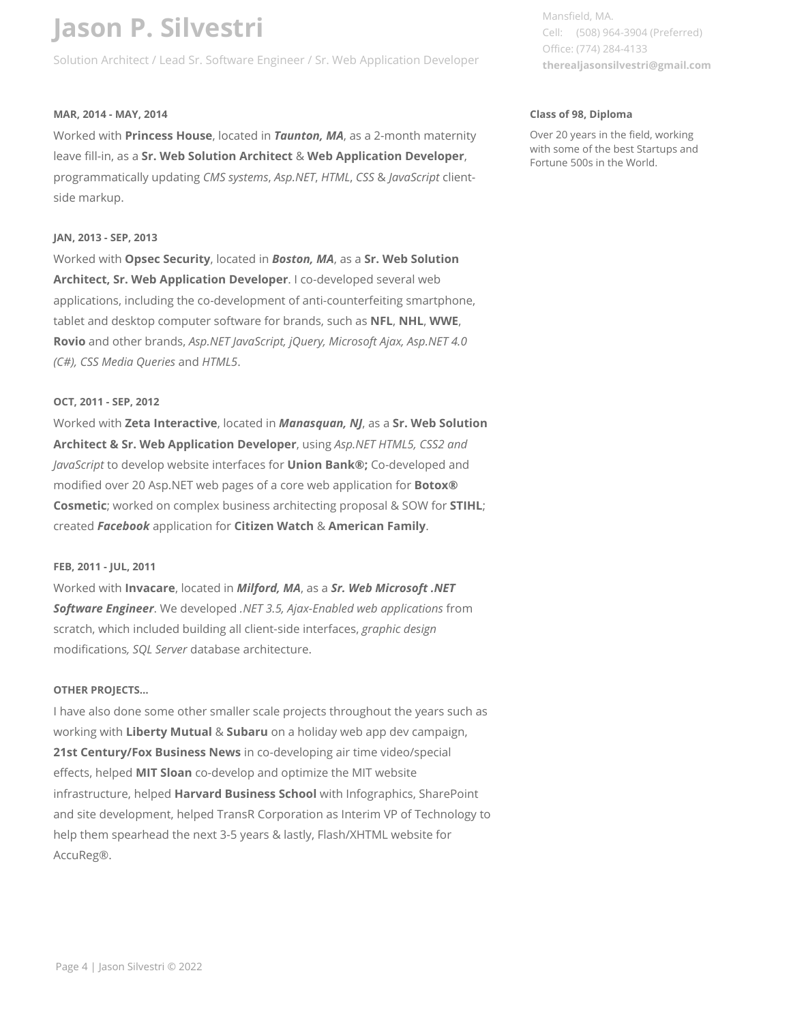Solution Architect / Lead Sr. Software Engineer / Sr. Web Application Developer

#### **MAR, 2014 - MAY, 2014**

Worked with **Princess House**, located in *Taunton, MA*, as a 2-month maternity leave fill-in, as a **Sr. Web Solution Architect** & **Web Application Developer**, programmatically updating *CMS systems*, *Asp.NET*, *HTML*, *CSS* & *JavaScript* clientside markup.

#### **JAN, 2013 - SEP, 2013**

Worked with **Opsec Security**, located in *Boston, MA*, as a **Sr. Web Solution Architect, Sr. Web Application Developer**. I co-developed several web applications, including the co-development of anti-counterfeiting smartphone, tablet and desktop computer software for brands, such as **NFL**, **NHL**, **WWE**, **Rovio** and other brands, *Asp.NET JavaScript, jQuery, Microsoft Ajax, Asp.NET 4.0 (C#), CSS Media Queries* and *HTML5*.

#### **OCT, 2011 - SEP, 2012**

Worked with **Zeta Interactive**, located in *Manasquan, NJ*, as a **Sr. Web Solution Architect & Sr. Web Application Developer**, using *Asp.NET HTML5, CSS2 and JavaScript* to develop website interfaces for **Union Bank®;** Co-developed and modified over 20 Asp.NET web pages of a core web application for **Botox® Cosmetic**; worked on complex business architecting proposal & SOW for **STIHL**; created *Facebook* application for **Citizen Watch** & **American Family**.

#### **FEB, 2011 - JUL, 2011**

Worked with **Invacare**, located in *Milford, MA*, as a *Sr. Web Microsoft .NET Software Engineer*. We developed *.NET 3.5, Ajax-Enabled web applications* from scratch, which included building all client-side interfaces, *graphic design* modifications*, SQL Server* database architecture.

#### **OTHER PROJECTS…**

I have also done some other smaller scale projects throughout the years such as working with **Liberty Mutual** & **Subaru** on a holiday web app dev campaign, **21st Century/Fox Business News** in co-developing air time video/special effects, helped **MIT Sloan** co-develop and optimize the MIT website infrastructure, helped **Harvard Business School** with Infographics, SharePoint and site development, helped TransR Corporation as Interim VP of Technology to help them spearhead the next 3-5 years & lastly, Flash/XHTML website for AccuReg®.

Mansfield, MA. Cell: (508) 964-3904 (Preferred) Office: (774) 284-4133 **therealjasonsilvestri@gmail.com**

#### **Class of 98, Diploma**

Over 20 years in the field, working with some of the best Startups and Fortune 500s in the World.